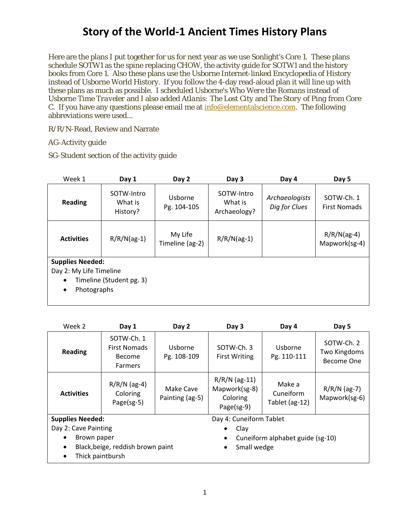Here are the plans I put together for us for next year as we use Sonlight's Core 1. These plans schedule SOTW1 as the spine replacing CHOW, the activity guide for SOTW1 and the history books from Core 1. Also these plans use the Usborne Internet-linked Encyclopedia of History instead of Usborne World History. If you follow the 4-day read-aloud plan it will line up with these plans as much as possible. I scheduled Usborne's *Who Were the Romans* instead of Usborne *Time Traveler* and I also added *Atlanis: The Lost City* and *The Story of Ping* from Core C. If you have any questions please email me at  $info@$  elementalscience.com. The following abbreviations were used...

R/R/N-Read, Review and Narrate

AG-Activity guide

SG-Student section of the activity guide

| Week 1                                                                              | Day 1                             | Day 2                      | Day 3                                 | Day 4                           | Day 5                             |
|-------------------------------------------------------------------------------------|-----------------------------------|----------------------------|---------------------------------------|---------------------------------|-----------------------------------|
| <b>Reading</b>                                                                      | SOTW-Intro<br>What is<br>History? | Usborne<br>Pg. 104-105     | SOTW-Intro<br>What is<br>Archaeology? | Archaeologists<br>Dig for Clues | SOTW-Ch. 1<br><b>First Nomads</b> |
| <b>Activities</b>                                                                   | $R/R/N(ag-1)$                     | My Life<br>Timeline (ag-2) | $R/R/N(ag-1)$                         |                                 | $R/R/N(ag-4)$<br>Mapwork(sg-4)    |
| <b>Supplies Needed:</b><br>Day 2: My Life Timeline<br>٠<br>Photographs<br>$\bullet$ | Timeline (Student pg. 3)          |                            |                                       |                                 |                                   |

| Week 2                                                                                                                 | Day 1                                                                | Day 2                        | Day 3                                                      | Day 4                                 | Day 5                                    |
|------------------------------------------------------------------------------------------------------------------------|----------------------------------------------------------------------|------------------------------|------------------------------------------------------------|---------------------------------------|------------------------------------------|
| <b>Reading</b>                                                                                                         | SOTW-Ch. 1<br><b>First Nomads</b><br><b>Become</b><br><b>Farmers</b> | Usborne<br>Pg. 108-109       | SOTW-Ch. 3<br><b>First Writing</b>                         | Usborne<br>Pg. 110-111                | SOTW-Ch. 2<br>Two Kingdoms<br>Become One |
| <b>Activities</b>                                                                                                      | $R/R/N$ (ag-4)<br>Coloring<br>Page(sg-5)                             | Make Cave<br>Painting (ag-5) | $R/R/N$ (ag-11)<br>Mapwork(sg-8)<br>Coloring<br>Page(sg-9) | Make a<br>Cuneiform<br>Tablet (ag-12) | $R/R/N$ (ag-7)<br>Mapwork(sg-6)          |
| <b>Supplies Needed:</b>                                                                                                |                                                                      |                              | Day 4: Cuneiform Tablet                                    |                                       |                                          |
| Day 2: Cave Painting<br>Brown paper<br>Black, beige, reddish brown paint<br>$\bullet$<br>Thick paintbursh<br>$\bullet$ |                                                                      |                              | Clay<br>$\bullet$<br>$\bullet$<br>Small wedge<br>$\bullet$ | Cuneiform alphabet guide (sg-10)      |                                          |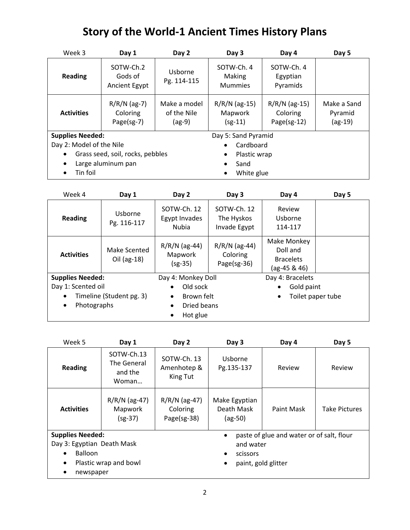| Week 3                           | Day 1                                        | Day 2                                   | Day 3                                         | Day 4                                      | Day 5                               |
|----------------------------------|----------------------------------------------|-----------------------------------------|-----------------------------------------------|--------------------------------------------|-------------------------------------|
| <b>Reading</b>                   | SOTW-Ch.2<br>Gods of<br><b>Ancient Egypt</b> | Usborne<br>Pg. 114-115                  | SOTW-Ch. 4<br><b>Making</b><br><b>Mummies</b> | SOTW-Ch. 4<br>Egyptian<br>Pyramids         |                                     |
| <b>Activities</b>                | $R/R/N$ (ag-7)<br>Coloring<br>Page(sg-7)     | Make a model<br>of the Nile<br>$(ag-9)$ | $R/R/N$ (ag-15)<br>Mapwork<br>$(sg-11)$       | $R/R/N$ (ag-15)<br>Coloring<br>Page(sg-12) | Make a Sand<br>Pyramid<br>$(ag-19)$ |
| <b>Supplies Needed:</b>          |                                              |                                         | Day 5: Sand Pyramid                           |                                            |                                     |
| Day 2: Model of the Nile         |                                              |                                         | Cardboard<br>$\bullet$                        |                                            |                                     |
| Grass seed, soil, rocks, pebbles |                                              | Plastic wrap<br>$\bullet$               |                                               |                                            |                                     |
| $\bullet$                        | Large aluminum pan                           |                                         | Sand<br>$\bullet$                             |                                            |                                     |
| Tin foil                         |                                              |                                         | White glue<br>$\bullet$                       |                                            |                                     |

| Week 4                  | Day 1                       | Day 2                                        | Day 3                                      | Day 4                                                       | Day 5             |
|-------------------------|-----------------------------|----------------------------------------------|--------------------------------------------|-------------------------------------------------------------|-------------------|
| <b>Reading</b>          | Usborne<br>Pg. 116-117      | SOTW-Ch. 12<br>Egypt Invades<br><b>Nubia</b> | SOTW-Ch. 12<br>The Hyskos<br>Invade Egypt  | Review<br>Usborne<br>114-117                                |                   |
| <b>Activities</b>       | Make Scented<br>Oil (ag-18) | $R/R/N$ (ag-44)<br>Mapwork<br>$(sg-35)$      | $R/R/N$ (ag-44)<br>Coloring<br>Page(sg-36) | Make Monkey<br>Doll and<br><b>Bracelets</b><br>(ag-45 & 46) |                   |
| <b>Supplies Needed:</b> |                             | Day 4: Monkey Doll                           |                                            | Day 4: Bracelets                                            |                   |
| Day 1: Scented oil      |                             | Old sock                                     |                                            | Gold paint                                                  |                   |
|                         | Timeline (Student pg. 3)    | Brown felt<br>$\bullet$                      |                                            | $\bullet$                                                   | Toilet paper tube |
| Photographs             |                             | Dried beans<br>$\bullet$<br>$\bullet$        |                                            |                                                             |                   |
|                         |                             | Hot glue                                     |                                            |                                                             |                   |

| Week 5                                                                                            | Day 1                                         | Day 2                                      | Day 3                                                     | Day 4                                     | Day 5                |
|---------------------------------------------------------------------------------------------------|-----------------------------------------------|--------------------------------------------|-----------------------------------------------------------|-------------------------------------------|----------------------|
| <b>Reading</b>                                                                                    | SOTW-Ch.13<br>The General<br>and the<br>Woman | SOTW-Ch. 13<br>Amenhotep &<br>King Tut     | Usborne<br>Pg.135-137                                     | Review                                    | Review               |
| <b>Activities</b>                                                                                 | $R/R/N$ (ag-47)<br>Mapwork<br>$(sg-37)$       | $R/R/N$ (ag-47)<br>Coloring<br>Page(sg-38) | Make Egyptian<br>Death Mask<br>$(ag-50)$                  | Paint Mask                                | <b>Take Pictures</b> |
| <b>Supplies Needed:</b><br>Day 3: Egyptian Death Mask<br><b>Balloon</b><br>$\bullet$<br>newspaper | Plastic wrap and bowl                         |                                            | $\bullet$<br>and water<br>scissors<br>paint, gold glitter | paste of glue and water or of salt, flour |                      |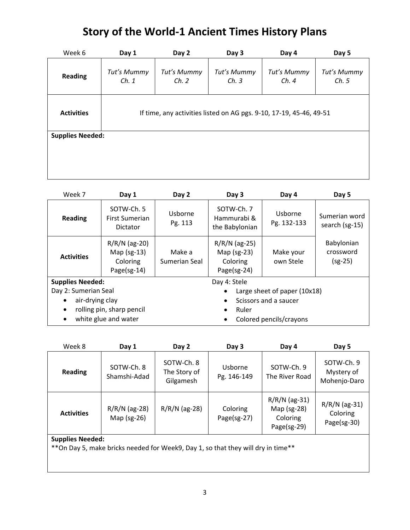| Week 6                  | Day 1                                                               | Day 2                | Day 3               | Day 4               | Day 5                |  |
|-------------------------|---------------------------------------------------------------------|----------------------|---------------------|---------------------|----------------------|--|
| <b>Reading</b>          | Tut's Mummy<br>Ch. 1                                                | Tut's Mummy<br>Ch. 2 | Tut's Mummy<br>Ch.3 | Tut's Mummy<br>Ch.4 | Tut's Mummy<br>Ch. 5 |  |
| <b>Activities</b>       | If time, any activities listed on AG pgs. 9-10, 17-19, 45-46, 49-51 |                      |                     |                     |                      |  |
| <b>Supplies Needed:</b> |                                                                     |                      |                     |                     |                      |  |
|                         |                                                                     |                      |                     |                     |                      |  |
|                         |                                                                     |                      |                     |                     |                      |  |
|                         |                                                                     |                      |                     |                     |                      |  |

| Week 7                  | Day 1                                                       | Day 2                   | Day 3                                                       | Day 4                   | Day 5                                |  |
|-------------------------|-------------------------------------------------------------|-------------------------|-------------------------------------------------------------|-------------------------|--------------------------------------|--|
| <b>Reading</b>          | SOTW-Ch. 5<br><b>First Sumerian</b><br><b>Dictator</b>      | Usborne<br>Pg. 113      | SOTW-Ch. 7<br>Hammurabi &<br>the Babylonian                 | Usborne<br>Pg. 132-133  | Sumerian word<br>search (sg-15)      |  |
| <b>Activities</b>       | $R/R/N$ (ag-20)<br>Map $(sg-13)$<br>Coloring<br>Page(sg-14) | Make a<br>Sumerian Seal | $R/R/N$ (ag-25)<br>Map $(sg-23)$<br>Coloring<br>Page(sg-24) | Make your<br>own Stele  | Babylonian<br>crossword<br>$(sg-25)$ |  |
| <b>Supplies Needed:</b> |                                                             |                         | Day 4: Stele                                                |                         |                                      |  |
| Day 2: Sumerian Seal    |                                                             |                         | Large sheet of paper (10x18)                                |                         |                                      |  |
| air-drying clay         |                                                             |                         | Scissors and a saucer<br>$\bullet$                          |                         |                                      |  |
|                         | rolling pin, sharp pencil                                   |                         | Ruler<br>$\bullet$                                          |                         |                                      |  |
| ٠                       | white glue and water                                        |                         | ٠                                                           | Colored pencils/crayons |                                      |  |

| Week 8            | Day 1                          | Day 2                                   | Day 3                   | Day 4                                                     | Day 5                                      |
|-------------------|--------------------------------|-----------------------------------------|-------------------------|-----------------------------------------------------------|--------------------------------------------|
| <b>Reading</b>    | SOTW-Ch. 8<br>Shamshi-Adad     | SOTW-Ch. 8<br>The Story of<br>Gilgamesh | Usborne<br>Pg. 146-149  | SOTW-Ch. 9<br>The River Road                              | SOTW-Ch. 9<br>Mystery of<br>Mohenjo-Daro   |
| <b>Activities</b> | $R/R/N$ (ag-28)<br>Map (sg-26) | $R/R/N$ (ag-28)                         | Coloring<br>Page(sg-27) | $R/R/N$ (ag-31)<br>Map (sg-28)<br>Coloring<br>Page(sg-29) | $R/R/N$ (ag-31)<br>Coloring<br>Page(sg-30) |
| Supplies Needed:  |                                |                                         |                         |                                                           |                                            |

#### **Supplies Needed:**

\*\*On Day 5, make bricks needed for Week9, Day 1, so that they will dry in time\*\*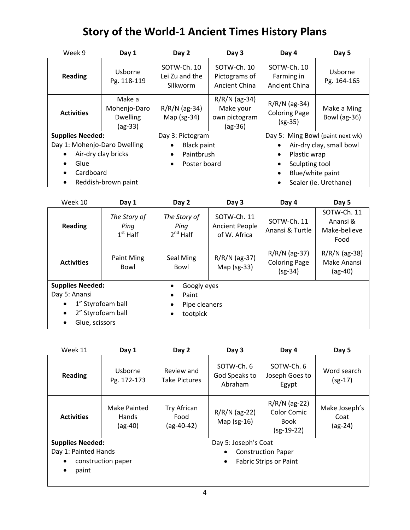| Week 9                       | Day 1                                                | Day 2                                     | Day 3                                                    | Day 4                                                | Day 5                       |
|------------------------------|------------------------------------------------------|-------------------------------------------|----------------------------------------------------------|------------------------------------------------------|-----------------------------|
| <b>Reading</b>               | Usborne<br>Pg. 118-119                               | SOTW-Ch. 10<br>Lei Zu and the<br>Silkworm | SOTW-Ch. 10<br>Pictograms of<br><b>Ancient China</b>     | SOTW-Ch. 10<br>Farming in<br><b>Ancient China</b>    | Usborne<br>Pg. 164-165      |
| <b>Activities</b>            | Make a<br>Mohenjo-Daro<br><b>Dwelling</b><br>(ag-33) | $R/R/N$ (ag-34)<br>Map $(sg-34)$          | $R/R/N$ (ag-34)<br>Make your<br>own pictogram<br>(ag-36) | $R/R/N$ (ag-34)<br><b>Coloring Page</b><br>$(sg-35)$ | Make a Ming<br>Bowl (ag-36) |
| <b>Supplies Needed:</b>      |                                                      | Day 3: Pictogram                          |                                                          | Day 5: Ming Bowl (paint next wk)                     |                             |
| Day 1: Mohenjo-Daro Dwelling |                                                      | <b>Black paint</b>                        |                                                          |                                                      | Air-dry clay, small bowl    |
|                              | Air-dry clay bricks                                  | Paintbrush<br>$\bullet$                   |                                                          | Plastic wrap<br>٠                                    |                             |
| Glue                         |                                                      | Poster board                              |                                                          | Sculpting tool<br>$\bullet$                          |                             |
| Cardboard<br>$\bullet$       |                                                      |                                           |                                                          | Blue/white paint<br>$\bullet$                        |                             |
| $\bullet$                    | Reddish-brown paint                                  |                                           |                                                          | $\bullet$                                            | Sealer (ie. Urethane)       |

| Week 10                 | Day 1                              | Day 2                                 | Day 3                                                | Day 4                                                | Day 5                                           |  |  |
|-------------------------|------------------------------------|---------------------------------------|------------------------------------------------------|------------------------------------------------------|-------------------------------------------------|--|--|
| <b>Reading</b>          | The Story of<br>Ping<br>$1st$ Half | The Story of<br>Ping<br>$2^{nd}$ Half | SOTW-Ch. 11<br><b>Ancient People</b><br>of W. Africa | SOTW-Ch. 11<br>Anansi & Turtle                       | SOTW-Ch. 11<br>Anansi &<br>Make-believe<br>Food |  |  |
| <b>Activities</b>       | Paint Ming<br>Bowl                 | Seal Ming<br>Bowl                     | $R/R/N$ (ag-37)<br>Map (sg-33)                       | $R/R/N$ (ag-37)<br><b>Coloring Page</b><br>$(sg-34)$ | $R/R/N$ (ag-38)<br>Make Anansi<br>$(ag-40)$     |  |  |
| <b>Supplies Needed:</b> |                                    | Googly eyes                           |                                                      |                                                      |                                                 |  |  |
| Day 5: Anansi           |                                    | Paint<br>$\bullet$                    |                                                      |                                                      |                                                 |  |  |
| $\bullet$               | 1" Styrofoam ball                  | Pipe cleaners<br>$\bullet$            |                                                      |                                                      |                                                 |  |  |
| $\bullet$               | 2" Styrofoam ball                  | tootpick                              |                                                      |                                                      |                                                 |  |  |
| Glue, scissors          |                                    |                                       |                                                      |                                                      |                                                 |  |  |

| Week 11                                                                                     | Day 1                              | Day 2                               | Day 3                                                      | Day 4                                                         | Day 5                            |
|---------------------------------------------------------------------------------------------|------------------------------------|-------------------------------------|------------------------------------------------------------|---------------------------------------------------------------|----------------------------------|
| <b>Reading</b>                                                                              | Usborne<br>Pg. 172-173             | Review and<br><b>Take Pictures</b>  | SOTW-Ch. 6<br>God Speaks to<br>Abraham                     | SOTW-Ch. 6<br>Joseph Goes to<br>Egypt                         | Word search<br>$(sg-17)$         |
| <b>Activities</b>                                                                           | Make Painted<br>Hands<br>$(ag-40)$ | Try African<br>Food<br>$(ag-40-42)$ | $R/R/N$ (ag-22)<br>Map $(sg-16)$                           | $R/R/N$ (ag-22)<br>Color Comic<br><b>Book</b><br>$(sg-19-22)$ | Make Joseph's<br>Coat<br>(ag-24) |
| <b>Supplies Needed:</b><br>Day 1: Painted Hands<br>construction paper<br>$\bullet$<br>paint |                                    | Day 5: Joseph's Coat<br>$\bullet$   | <b>Construction Paper</b><br><b>Fabric Strips or Paint</b> |                                                               |                                  |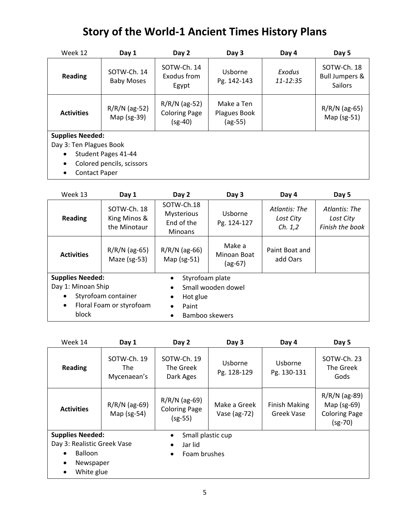| Week 12                                        | Day 1                                            | Day 2                                                | Day 3                                   | Day 4              | Day 5                                                      |
|------------------------------------------------|--------------------------------------------------|------------------------------------------------------|-----------------------------------------|--------------------|------------------------------------------------------------|
| <b>Reading</b>                                 | SOTW-Ch. 14<br><b>Baby Moses</b>                 | SOTW-Ch. 14<br>Exodus from<br>Egypt                  | Usborne<br>Pg. 142-143                  | Exodus<br>11-12:35 | SOTW-Ch. 18<br><b>Bull Jumpers &amp;</b><br><b>Sailors</b> |
| <b>Activities</b>                              | $R/R/N$ (ag-52)<br>Map (sg-39)                   | $R/R/N$ (ag-52)<br><b>Coloring Page</b><br>$(sg-40)$ | Make a Ten<br>Plagues Book<br>$(ag-55)$ |                    | $R/R/N$ (ag-65)<br>Map $(sg-51)$                           |
| <b>Supplies Needed:</b>                        |                                                  |                                                      |                                         |                    |                                                            |
| Day 3: Ten Plagues Book                        |                                                  |                                                      |                                         |                    |                                                            |
| $\bullet$<br><b>Contact Paper</b><br>$\bullet$ | Student Pages 41-44<br>Colored pencils, scissors |                                                      |                                         |                    |                                                            |

| Week 13                 | Day 1                                       | Day 2                                                    | Day 3                              | Day 4                                  | Day 5                                         |
|-------------------------|---------------------------------------------|----------------------------------------------------------|------------------------------------|----------------------------------------|-----------------------------------------------|
| <b>Reading</b>          | SOTW-Ch. 18<br>King Minos &<br>the Minotaur | SOTW-Ch.18<br>Mysterious<br>End of the<br><b>Minoans</b> | Usborne<br>Pg. 124-127             | Atlantis: The<br>Lost City<br>Ch. 1, 2 | Atlantis: The<br>Lost City<br>Finish the book |
| <b>Activities</b>       | $R/R/N$ (ag-65)<br>Maze (sg-53)             | $R/R/N$ (ag-66)<br>Map $(sg-51)$                         | Make a<br>Minoan Boat<br>$(ag-67)$ | Paint Boat and<br>add Oars             |                                               |
| <b>Supplies Needed:</b> |                                             | Styrofoam plate                                          |                                    |                                        |                                               |
| Day 1: Minoan Ship      |                                             |                                                          | Small wooden dowel                 |                                        |                                               |
|                         | Styrofoam container                         | Hot glue<br>$\bullet$                                    |                                    |                                        |                                               |
| $\bullet$               | Floral Foam or styrofoam                    | Paint<br>$\bullet$                                       |                                    |                                        |                                               |
| block                   |                                             | $\bullet$                                                | Bamboo skewers                     |                                        |                                               |

| Week 14                     | Day 1                             | Day 2                                                | Day 3                            | Day 4                              | Day 5                                                                 |
|-----------------------------|-----------------------------------|------------------------------------------------------|----------------------------------|------------------------------------|-----------------------------------------------------------------------|
| <b>Reading</b>              | SOTW-Ch. 19<br>The<br>Mycenaean's | SOTW-Ch. 19<br>The Greek<br>Dark Ages                | Usborne<br>Pg. 128-129           | Usborne<br>Pg. 130-131             | SOTW-Ch. 23<br>The Greek<br>Gods                                      |
| <b>Activities</b>           | $R/R/N$ (ag-69)<br>Map $(sg-54)$  | $R/R/N$ (ag-69)<br><b>Coloring Page</b><br>$(sg-55)$ | Make a Greek<br>Vase (ag- $72$ ) | <b>Finish Making</b><br>Greek Vase | $R/R/N$ (ag-89)<br>Map $(sg-69)$<br><b>Coloring Page</b><br>$(sg-70)$ |
| <b>Supplies Needed:</b>     |                                   | Small plastic cup                                    |                                  |                                    |                                                                       |
| Day 3: Realistic Greek Vase |                                   | Jar lid<br>$\bullet$                                 |                                  |                                    |                                                                       |
| <b>Balloon</b>              |                                   | Foam brushes                                         |                                  |                                    |                                                                       |
| Newspaper                   |                                   |                                                      |                                  |                                    |                                                                       |
| White glue<br>$\bullet$     |                                   |                                                      |                                  |                                    |                                                                       |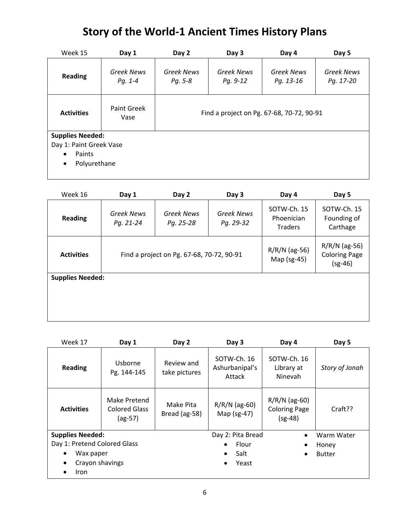| Week 15                   | Day 1                        | Day 2                                     | Day 3                         | Day 4                          | Day 5                          |  |
|---------------------------|------------------------------|-------------------------------------------|-------------------------------|--------------------------------|--------------------------------|--|
| <b>Reading</b>            | <b>Greek News</b><br>Pg. 1-4 | <b>Greek News</b><br>Pg. 5-8              | <b>Greek News</b><br>Pg. 9-12 | <b>Greek News</b><br>Pg. 13-16 | <b>Greek News</b><br>Pg. 17-20 |  |
| <b>Activities</b>         | <b>Paint Greek</b><br>Vase   | Find a project on Pg. 67-68, 70-72, 90-91 |                               |                                |                                |  |
| <b>Supplies Needed:</b>   |                              |                                           |                               |                                |                                |  |
| Day 1: Paint Greek Vase   |                              |                                           |                               |                                |                                |  |
| Paints<br>$\bullet$       |                              |                                           |                               |                                |                                |  |
| Polyurethane<br>$\bullet$ |                              |                                           |                               |                                |                                |  |

| Week 16                 | Day 1                   | Day 2                                     | Day 3                          | Day 4                                       | Day 5                                                |
|-------------------------|-------------------------|-------------------------------------------|--------------------------------|---------------------------------------------|------------------------------------------------------|
| <b>Reading</b>          | Greek News<br>Pg. 21-24 | <b>Greek News</b><br>Pg. 25-28            | <b>Greek News</b><br>Pg. 29-32 | SOTW-Ch. 15<br>Phoenician<br><b>Traders</b> | SOTW-Ch. 15<br>Founding of<br>Carthage               |
| <b>Activities</b>       |                         | Find a project on Pg. 67-68, 70-72, 90-91 |                                | $R/R/N$ (ag-56)<br>Map (sg-45)              | $R/R/N$ (ag-56)<br><b>Coloring Page</b><br>$(sg-46)$ |
| <b>Supplies Needed:</b> |                         |                                           |                                |                                             |                                                      |

| Week 17                      | Day 1                                             | Day 2                       | Day 3                                   | Day 4                                                | Day 5          |
|------------------------------|---------------------------------------------------|-----------------------------|-----------------------------------------|------------------------------------------------------|----------------|
| <b>Reading</b>               | Usborne<br>Pg. 144-145                            | Review and<br>take pictures | SOTW-Ch. 16<br>Ashurbanipal's<br>Attack | SOTW-Ch. 16<br>Library at<br>Ninevah                 | Story of Jonah |
| <b>Activities</b>            | Make Pretend<br><b>Colored Glass</b><br>$(ag-57)$ | Make Pita<br>Bread (ag-58)  | $R/R/N$ (ag-60)<br>Map $(sg-47)$        | $R/R/N$ (ag-60)<br><b>Coloring Page</b><br>$(sg-48)$ | Craft??        |
| <b>Supplies Needed:</b>      |                                                   |                             | Day 2: Pita Bread                       |                                                      | Warm Water     |
| Day 1: Pretend Colored Glass |                                                   |                             | Flour<br>$\bullet$                      |                                                      | Honey          |
| Wax paper                    |                                                   |                             | Salt<br>$\bullet$                       | ٠                                                    | <b>Butter</b>  |
| Crayon shavings              |                                                   |                             | Yeast                                   |                                                      |                |
| Iron                         |                                                   |                             |                                         |                                                      |                |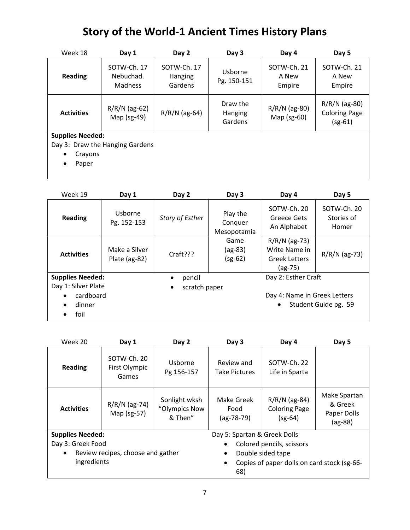| Week 18                 | Day 1                                      | Day 2                                    | Day 3                                 | Day 4                            | Day 5                                                |
|-------------------------|--------------------------------------------|------------------------------------------|---------------------------------------|----------------------------------|------------------------------------------------------|
| <b>Reading</b>          | SOTW-Ch. 17<br>Nebuchad.<br><b>Madness</b> | SOTW-Ch. 17<br><b>Hanging</b><br>Gardens | Usborne<br>Pg. 150-151                | SOTW-Ch. 21<br>A New<br>Empire   | SOTW-Ch. 21<br>A New<br>Empire                       |
| <b>Activities</b>       | $R/R/N$ (ag-62)<br>Map (sg-49)             | $R/R/N$ (ag-64)                          | Draw the<br><b>Hanging</b><br>Gardens | $R/R/N$ (ag-80)<br>Map $(sg-60)$ | $R/R/N$ (ag-80)<br><b>Coloring Page</b><br>$(sg-61)$ |
| <b>Supplies Needed:</b> | Day 3: Draw the Hanging Gardens            |                                          |                                       |                                  |                                                      |
| Crayons                 |                                            |                                          |                                       |                                  |                                                      |

• Paper

| Week 19                     | Day 1                          | Day 2                      | Day 3                              | Day 4                                                               | Day 5                              |
|-----------------------------|--------------------------------|----------------------------|------------------------------------|---------------------------------------------------------------------|------------------------------------|
| <b>Reading</b>              | Usborne<br>Pg. 152-153         | Story of Esther            | Play the<br>Conquer<br>Mesopotamia | SOTW-Ch. 20<br>Greece Gets<br>An Alphabet                           | SOTW-Ch. 20<br>Stories of<br>Homer |
| <b>Activities</b>           | Make a Silver<br>Plate (ag-82) | Craff???                   | Game<br>$(ag-83)$<br>$(sg-62)$     | $R/R/N$ (ag-73)<br>Write Name in<br><b>Greek Letters</b><br>(ag-75) | $R/R/N$ (ag-73)                    |
| <b>Supplies Needed:</b>     |                                | pencil<br>$\bullet$        |                                    | Day 2: Esther Craft                                                 |                                    |
| Day 1: Silver Plate         |                                | scratch paper<br>$\bullet$ |                                    |                                                                     |                                    |
| cardboard<br>dinner<br>foil |                                |                            |                                    | Day 4: Name in Greek Letters<br>$\bullet$                           | Student Guide pg. 59               |

| Week 20                 | Day 1                                 | Day 2                                     | Day 3                              | Day 4                                                | Day 5                                               |
|-------------------------|---------------------------------------|-------------------------------------------|------------------------------------|------------------------------------------------------|-----------------------------------------------------|
| <b>Reading</b>          | SOTW-Ch. 20<br>First Olympic<br>Games | Usborne<br>Pg 156-157                     | Review and<br><b>Take Pictures</b> | SOTW-Ch. 22<br>Life in Sparta                        |                                                     |
| <b>Activities</b>       | $R/R/N$ (ag-74)<br>Map (sg-57)        | Sonlight wksh<br>"Olympics Now<br>& Then" | Make Greek<br>Food<br>$(ag-78-79)$ | $R/R/N$ (ag-84)<br><b>Coloring Page</b><br>$(sg-64)$ | Make Spartan<br>& Greek<br>Paper Dolls<br>$(ag-88)$ |
| <b>Supplies Needed:</b> |                                       |                                           | Day 5: Spartan & Greek Dolls       |                                                      |                                                     |
| Day 3: Greek Food       |                                       |                                           |                                    | Colored pencils, scissors                            |                                                     |
| $\bullet$               | Review recipes, choose and gather     |                                           | Double sided tape<br>٠             |                                                      |                                                     |
| ingredients             |                                       |                                           | 68)                                | Copies of paper dolls on card stock (sg-66-          |                                                     |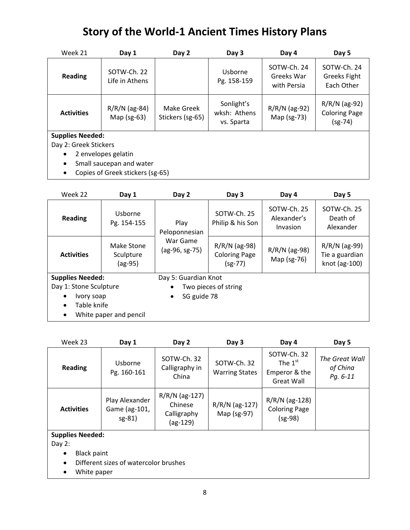| Week 21                 | Day 1                            | Day 2                          | Day 3                                    | Day 4                                    | Day 5                                                |
|-------------------------|----------------------------------|--------------------------------|------------------------------------------|------------------------------------------|------------------------------------------------------|
| <b>Reading</b>          | SOTW-Ch. 22<br>Life in Athens    |                                | Usborne<br>Pg. 158-159                   | SOTW-Ch. 24<br>Greeks War<br>with Persia | SOTW-Ch. 24<br><b>Greeks Fight</b><br>Each Other     |
| <b>Activities</b>       | $R/R/N$ (ag-84)<br>Map $(sg-63)$ | Make Greek<br>Stickers (sg-65) | Sonlight's<br>wksh: Athens<br>vs. Sparta | $R/R/N$ (ag-92)<br>Map (sg-73)           | $R/R/N$ (ag-92)<br><b>Coloring Page</b><br>$(sg-74)$ |
| <b>Supplies Needed:</b> |                                  |                                |                                          |                                          |                                                      |
| Day 2: Greek Stickers   |                                  |                                |                                          |                                          |                                                      |
| $\bullet$               | 2 envelopes gelatin              |                                |                                          |                                          |                                                      |
| $\bullet$               | Small saucepan and water         |                                |                                          |                                          |                                                      |
| $\bullet$               | Copies of Greek stickers (sg-65) |                                |                                          |                                          |                                                      |

| Week 22                  | Day 1                              | Day 2                                               | Day 3                                                | Day 4                                  | Day 5                                              |
|--------------------------|------------------------------------|-----------------------------------------------------|------------------------------------------------------|----------------------------------------|----------------------------------------------------|
| <b>Reading</b>           | Usborne<br>Pg. 154-155             | Play<br>Peloponnesian<br>War Game<br>(ag-96, sg-75) | SOTW-Ch. 25<br>Philip & his Son                      | SOTW-Ch. 25<br>Alexander's<br>Invasion | SOTW-Ch. 25<br>Death of<br>Alexander               |
| <b>Activities</b>        | Make Stone<br>Sculpture<br>(ag-95) |                                                     | $R/R/N$ (ag-98)<br><b>Coloring Page</b><br>$(sg-77)$ | $R/R/N$ (ag-98)<br>Map (sg-76)         | $R/R/N$ (ag-99)<br>Tie a guardian<br>knot (ag-100) |
| <b>Supplies Needed:</b>  |                                    | Day 5: Guardian Knot                                |                                                      |                                        |                                                    |
| Day 1: Stone Sculpture   |                                    |                                                     | Two pieces of string                                 |                                        |                                                    |
| Ivory soap               |                                    | SG guide 78                                         |                                                      |                                        |                                                    |
| Table knife<br>$\bullet$ |                                    |                                                     |                                                      |                                        |                                                    |
| $\bullet$                | White paper and pencil             |                                                     |                                                      |                                        |                                                    |

| Week 23                             | Day 1                                      | Day 2                                                    | Day 3                                | Day 4                                                   | Day 5                                  |
|-------------------------------------|--------------------------------------------|----------------------------------------------------------|--------------------------------------|---------------------------------------------------------|----------------------------------------|
| <b>Reading</b>                      | Usborne<br>Pg. 160-161                     | SOTW-Ch. 32<br>Calligraphy in<br>China                   | SOTW-Ch. 32<br><b>Warring States</b> | SOTW-Ch. 32<br>The $1st$<br>Emperor & the<br>Great Wall | The Great Wall<br>of China<br>Pg. 6-11 |
| <b>Activities</b>                   | Play Alexander<br>Game (ag-101,<br>$sg-81$ | $R/R/N$ (ag-127)<br>Chinese<br>Calligraphy<br>$(ag-129)$ | R/R/N (ag-127)<br>Map (sg-97)        | $R/R/N$ (ag-128)<br><b>Coloring Page</b><br>$(sg-98)$   |                                        |
| <b>Supplies Needed:</b><br>Day $2:$ |                                            |                                                          |                                      |                                                         |                                        |

- Black paint
- Different sizes of watercolor brushes
- White paper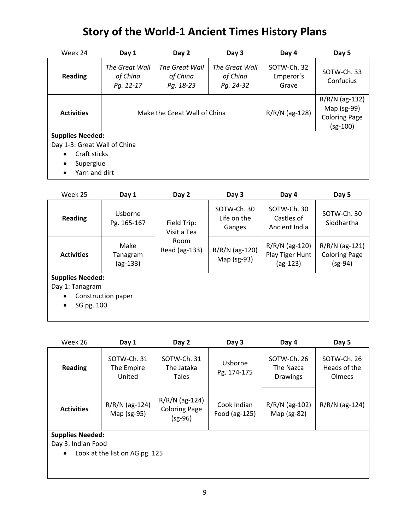| Week 24                      | Day 1                                   | Day 2                                   | Day 3                                   | Day 4                             | Day 5                                                                 |
|------------------------------|-----------------------------------------|-----------------------------------------|-----------------------------------------|-----------------------------------|-----------------------------------------------------------------------|
| <b>Reading</b>               | The Great Wall<br>of China<br>Pg. 12-17 | The Great Wall<br>of China<br>Pg. 18-23 | The Great Wall<br>of China<br>Pg. 24-32 | SOTW-Ch. 32<br>Emperor's<br>Grave | SOTW-Ch. 33<br>Confucius                                              |
| <b>Activities</b>            |                                         | Make the Great Wall of China            |                                         | $R/R/N$ (ag-128)                  | $R/R/N$ (ag-132)<br>Map (sg-99)<br><b>Coloring Page</b><br>$(sg-100)$ |
| <b>Supplies Needed:</b>      |                                         |                                         |                                         |                                   |                                                                       |
| Day 1-3: Great Wall of China |                                         |                                         |                                         |                                   |                                                                       |
| Craft sticks<br>$\bullet$    |                                         |                                         |                                         |                                   |                                                                       |
| Superglue<br>$\bullet$       |                                         |                                         |                                         |                                   |                                                                       |
| Yarn and dirt<br>٠           |                                         |                                         |                                         |                                   |                                                                       |

| Week 25                                                               | Day 1                          | Day 2                      | Day 3                                | Day 4                                             | Day 5                                                 |
|-----------------------------------------------------------------------|--------------------------------|----------------------------|--------------------------------------|---------------------------------------------------|-------------------------------------------------------|
| <b>Reading</b>                                                        | Usborne<br>Pg. 165-167         | Field Trip:<br>Visit a Tea | SOTW-Ch. 30<br>Life on the<br>Ganges | SOTW-Ch. 30<br>Castles of<br>Ancient India        | SOTW-Ch. 30<br>Siddhartha                             |
| <b>Activities</b>                                                     | Make<br>Tanagram<br>$(ag-133)$ | Room<br>Read (ag-133)      | R/R/N (ag-120)<br>Map (sg-93)        | $R/R/N$ (ag-120)<br>Play Tiger Hunt<br>$(ag-123)$ | $R/R/N$ (ag-121)<br><b>Coloring Page</b><br>$(sg-94)$ |
| <b>Supplies Needed:</b><br>Day 1: Tanagram<br>SG pg. 100<br>$\bullet$ | Construction paper             |                            |                                      |                                                   |                                                       |

| Week 26                                                    | Day 1                               | Day 2                                               | Day 3                        | Day 4                                       | Day 5                                 |
|------------------------------------------------------------|-------------------------------------|-----------------------------------------------------|------------------------------|---------------------------------------------|---------------------------------------|
| Reading                                                    | SOTW-Ch. 31<br>The Empire<br>United | SOTW-Ch. 31<br>The Jataka<br>Tales                  | Usborne<br>Pg. 174-175       | SOTW-Ch. 26<br>The Nazca<br><b>Drawings</b> | SOTW-Ch. 26<br>Heads of the<br>Olmecs |
| <b>Activities</b>                                          | R/R/N (ag-124)<br>Map (sg-95)       | R/R/N (ag-124)<br><b>Coloring Page</b><br>$(sg-96)$ | Cook Indian<br>Food (ag-125) | $R/R/N$ (ag-102)<br>Map (sg-82)             | R/R/N (ag-124)                        |
| <b>Supplies Needed:</b><br>Day 3: Indian Food<br>$\bullet$ | Look at the list on AG pg. 125      |                                                     |                              |                                             |                                       |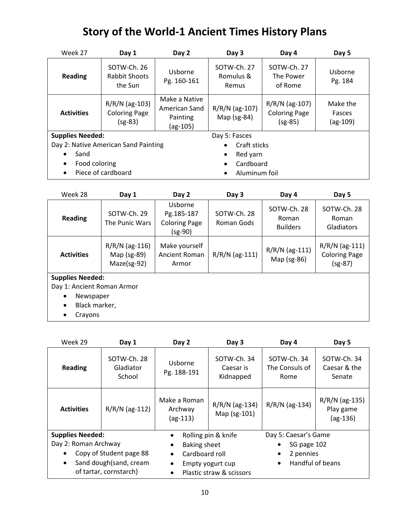| Week 27                 | Day 1                                                 | Day 2                                                  | Day 3                             | Day 4                                                 | Day 5                            |  |
|-------------------------|-------------------------------------------------------|--------------------------------------------------------|-----------------------------------|-------------------------------------------------------|----------------------------------|--|
| <b>Reading</b>          | SOTW-Ch. 26<br>Rabbit Shoots<br>the Sun               | Usborne<br>Pg. 160-161                                 | SOTW-Ch. 27<br>Romulus &<br>Remus | SOTW-Ch. 27<br>The Power<br>of Rome                   | Usborne<br>Pg. 184               |  |
| <b>Activities</b>       | $R/R/N$ (ag-103)<br><b>Coloring Page</b><br>$(sg-83)$ | Make a Native<br>American Sand<br>Painting<br>(ag-105) | R/R/N (ag-107)<br>Map $(sg-84)$   | $R/R/N$ (ag-107)<br><b>Coloring Page</b><br>$(sg-85)$ | Make the<br>Fasces<br>$(ag-109)$ |  |
| <b>Supplies Needed:</b> |                                                       |                                                        | Day 5: Fasces                     |                                                       |                                  |  |
|                         | Day 2: Native American Sand Painting                  |                                                        | Craft sticks<br>$\bullet$         |                                                       |                                  |  |
| Sand                    |                                                       | Red yarn<br>$\bullet$                                  |                                   |                                                       |                                  |  |
| Food coloring           |                                                       |                                                        | Cardboard<br>$\bullet$            |                                                       |                                  |  |
|                         | Piece of cardboard                                    |                                                        | Aluminum foil<br>$\bullet$        |                                                       |                                  |  |

| Week 28                    | Day 1                                          | Day 2                                                    | Day 3                     | Day 4                                   | Day 5                                                 |  |  |
|----------------------------|------------------------------------------------|----------------------------------------------------------|---------------------------|-----------------------------------------|-------------------------------------------------------|--|--|
| <b>Reading</b>             | SOTW-Ch. 29<br>The Punic Wars                  | Usborne<br>Pg.185-187<br><b>Coloring Page</b><br>(sg-90) | SOTW-Ch. 28<br>Roman Gods | SOTW-Ch. 28<br>Roman<br><b>Builders</b> | SOTW-Ch. 28<br>Roman<br>Gladiators                    |  |  |
| <b>Activities</b>          | $R/R/N$ (ag-116)<br>Map (sg-89)<br>Maze(sg-92) | Make yourself<br>Ancient Roman<br>Armor                  | R/R/N (ag-111)            | $R/R/N$ (ag-111)<br>Map (sg-86)         | $R/R/N$ (ag-111)<br><b>Coloring Page</b><br>$(sg-87)$ |  |  |
| <b>Supplies Needed:</b>    |                                                |                                                          |                           |                                         |                                                       |  |  |
| Day 1: Ancient Roman Armor |                                                |                                                          |                           |                                         |                                                       |  |  |
| Newspaper<br>$\bullet$     |                                                |                                                          |                           |                                         |                                                       |  |  |
| Black marker,<br>$\bullet$ |                                                |                                                          |                           |                                         |                                                       |  |  |
| Crayons<br>٠               |                                                |                                                          |                           |                                         |                                                       |  |  |

| Week 29                                                                                                                                                                            | Day 1                              | Day 2                                       | Day 3                                                               | Day 4                                                                                  | Day 5                                     |
|------------------------------------------------------------------------------------------------------------------------------------------------------------------------------------|------------------------------------|---------------------------------------------|---------------------------------------------------------------------|----------------------------------------------------------------------------------------|-------------------------------------------|
| <b>Reading</b>                                                                                                                                                                     | SOTW-Ch. 28<br>Gladiator<br>School | Usborne<br>Pg. 188-191                      | SOTW-Ch. 34<br>Caesar is<br>Kidnapped                               | SOTW-Ch. 34<br>The Consuls of<br>Rome                                                  | SOTW-Ch. 34<br>Caesar & the<br>Senate     |
| <b>Activities</b>                                                                                                                                                                  | $R/R/N$ (ag-112)                   | Make a Roman<br>Archway<br>$(ag-113)$       | $R/R/N$ (ag-134)<br>Map (sg-101)                                    | $R/R/N$ (ag-134)                                                                       | R/R/N (ag-135)<br>Play game<br>$(ag-136)$ |
| <b>Supplies Needed:</b><br>$\bullet$<br>Day 2: Roman Archway<br>$\bullet$<br>Copy of Student page 88<br>$\bullet$<br>Sand dough(sand, cream<br>$\bullet$<br>of tartar, cornstarch) |                                    | Baking sheet<br>Cardboard roll<br>$\bullet$ | Rolling pin & knife<br>Empty yogurt cup<br>Plastic straw & scissors | Day 5: Caesar's Game<br>SG page 102<br>2 pennies<br>٠<br>Handful of beans<br>$\bullet$ |                                           |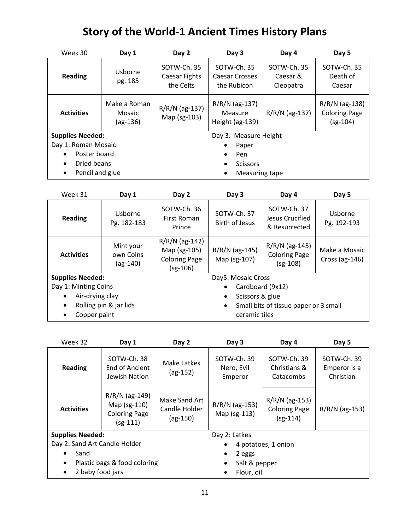| Week 30                      | Day 1                                | Day 2                                     | Day 3                                          | Day 4                                | Day 5                                                  |  |
|------------------------------|--------------------------------------|-------------------------------------------|------------------------------------------------|--------------------------------------|--------------------------------------------------------|--|
| <b>Reading</b>               | Usborne<br>pg. 185                   | SOTW-Ch. 35<br>Caesar Fights<br>the Celts | SOTW-Ch. 35<br>Caesar Crosses<br>the Rubicon   | SOTW-Ch. 35<br>Caesar &<br>Cleopatra | SOTW-Ch. 35<br>Death of<br>Caesar                      |  |
| <b>Activities</b>            | Make a Roman<br>Mosaic<br>$(ag-136)$ | R/R/N (ag-137)<br>Map (sg-103)            | $R/R/N$ (ag-137)<br>Measure<br>Height (ag-139) | $R/R/N$ (ag-137)                     | $R/R/N$ (ag-138)<br><b>Coloring Page</b><br>$(sg-104)$ |  |
| <b>Supplies Needed:</b>      |                                      |                                           | Day 3: Measure Height                          |                                      |                                                        |  |
| Day 1: Roman Mosaic          |                                      |                                           | Paper                                          |                                      |                                                        |  |
| Poster board<br>$\bullet$    |                                      |                                           | Pen<br>$\bullet$                               |                                      |                                                        |  |
| Dried beans<br>$\bullet$     |                                      |                                           | <b>Scissors</b><br>$\bullet$                   |                                      |                                                        |  |
| Pencil and glue<br>$\bullet$ |                                      |                                           | Measuring tape<br>٠                            |                                      |                                                        |  |

| Week 31                      | Day 1                                | Day 2                                                                  | Day 3                            | Day 4                                                  | Day 5                               |
|------------------------------|--------------------------------------|------------------------------------------------------------------------|----------------------------------|--------------------------------------------------------|-------------------------------------|
| <b>Reading</b>               | Usborne<br>Pg. 182-183               | SOTW-Ch. 36<br>First Roman<br>Prince                                   | SOTW-Ch. 37<br>Birth of Jesus    | SOTW-Ch. 37<br>Jesus Crucified<br>& Resurrected        | Usborne<br>Pg. 192-193              |
| <b>Activities</b>            | Mint your<br>own Coins<br>$(ag-140)$ | $R/R/N$ (ag-142)<br>Map (sg-105)<br><b>Coloring Page</b><br>$(sg-106)$ | $R/R/N$ (ag-145)<br>Map (sg-107) | $R/R/N$ (ag-145)<br><b>Coloring Page</b><br>$(sg-108)$ | Make a Mosaic<br>Cross (ag- $146$ ) |
| <b>Supplies Needed:</b>      |                                      |                                                                        | Day5: Mosaic Cross               |                                                        |                                     |
| Day 1: Minting Coins         |                                      |                                                                        | $\bullet$                        | Cardboard (9x12)                                       |                                     |
| Air-drying clay<br>$\bullet$ |                                      |                                                                        | Scissors & glue<br>$\bullet$     |                                                        |                                     |
| $\bullet$                    | Rolling pin & jar lids               |                                                                        | $\bullet$                        | Small bits of tissue paper or 3 small                  |                                     |
| Copper paint<br>$\bullet$    |                                      |                                                                        | ceramic tiles                    |                                                        |                                     |

| Week 32                       | Day 1                                                                  | Day 2                                        | Day 3                                | Day 4                                                  | Day 5                                    |  |
|-------------------------------|------------------------------------------------------------------------|----------------------------------------------|--------------------------------------|--------------------------------------------------------|------------------------------------------|--|
| <b>Reading</b>                | SOTW-Ch. 38<br>End of Ancient<br>Jewish Nation                         | Make Latkes<br>$(ag-152)$                    | SOTW-Ch. 39<br>Nero, Evil<br>Emperor | SOTW-Ch. 39<br>Christians &<br>Catacombs               | SOTW-Ch. 39<br>Emperor is a<br>Christian |  |
| <b>Activities</b>             | $R/R/N$ (ag-149)<br>Map (sg-110)<br><b>Coloring Page</b><br>$(sg-111)$ | Make Sand Art<br>Candle Holder<br>$(ag-150)$ | R/R/N (ag-153)<br>Map (sg-113)       | $R/R/N$ (ag-153)<br><b>Coloring Page</b><br>$(sg-114)$ | R/R/N (ag-153)                           |  |
| <b>Supplies Needed:</b>       |                                                                        |                                              | Day 2: Latkes                        |                                                        |                                          |  |
| Day 2: Sand Art Candle Holder |                                                                        |                                              | 4 potatoes, 1 onion                  |                                                        |                                          |  |
| Sand                          |                                                                        | 2 eggs                                       |                                      |                                                        |                                          |  |
|                               | Plastic bags & food coloring                                           |                                              | Salt & pepper                        |                                                        |                                          |  |
| 2 baby food jars              |                                                                        |                                              | Flour, oil                           |                                                        |                                          |  |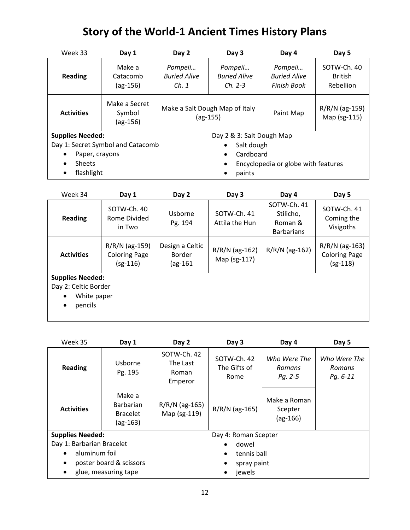| Week 33                     | Day 1                                 | Day 2                                        | Day 3                                       | Day 4                                         | Day 5                                      |
|-----------------------------|---------------------------------------|----------------------------------------------|---------------------------------------------|-----------------------------------------------|--------------------------------------------|
| <b>Reading</b>              | Make a<br>Catacomb<br>$(ag-156)$      | Pompeii<br><b>Buried Alive</b><br>Ch.1       | Pompeii<br><b>Buried Alive</b><br>$Ch. 2-3$ | Pompeii<br><b>Buried Alive</b><br>Finish Book | SOTW-Ch. 40<br><b>British</b><br>Rebellion |
| <b>Activities</b>           | Make a Secret<br>Symbol<br>$(ag-156)$ | Make a Salt Dough Map of Italy<br>$(ag-155)$ |                                             | Paint Map                                     | R/R/N (ag-159)<br>Map (sg-115)             |
| <b>Supplies Needed:</b>     |                                       |                                              | Day 2 & 3: Salt Dough Map                   |                                               |                                            |
|                             | Day 1: Secret Symbol and Catacomb     |                                              | Salt dough<br>$\bullet$                     |                                               |                                            |
| Paper, crayons<br>$\bullet$ |                                       |                                              | Cardboard<br>$\bullet$                      |                                               |                                            |
| <b>Sheets</b><br>$\bullet$  |                                       |                                              |                                             | Encyclopedia or globe with features           |                                            |
| flashlight<br>٠             |                                       |                                              | paints                                      |                                               |                                            |

| Week 34                                                                                     | Day 1                                                  | Day 2                                               | Day 3                            | Day 4                                                    | Day 5                                                  |
|---------------------------------------------------------------------------------------------|--------------------------------------------------------|-----------------------------------------------------|----------------------------------|----------------------------------------------------------|--------------------------------------------------------|
| <b>Reading</b>                                                                              | SOTW-Ch. 40<br>Rome Divided<br>in Two                  | Usborne<br>Pg. 194                                  | SOTW-Ch. 41<br>Attila the Hun    | SOTW-Ch. 41<br>Stilicho,<br>Roman &<br><b>Barbarians</b> | SOTW-Ch. 41<br>Coming the<br>Visigoths                 |
| <b>Activities</b>                                                                           | $R/R/N$ (ag-159)<br><b>Coloring Page</b><br>$(sg-116)$ | Design a Celtic<br><b>Border</b><br>$\frac{161}{2}$ | $R/R/N$ (ag-162)<br>Map (sg-117) | $R/R/N$ (ag-162)                                         | $R/R/N$ (ag-163)<br><b>Coloring Page</b><br>$(sg-118)$ |
| <b>Supplies Needed:</b><br>Day 2: Celtic Border<br>White paper<br>$\bullet$<br>pencils<br>٠ |                                                        |                                                     |                                  |                                                          |                                                        |

| Week 35                    | Day 1                                                       | Day 2                                       | Day 3                               | Day 4                                 | Day 5                              |  |
|----------------------------|-------------------------------------------------------------|---------------------------------------------|-------------------------------------|---------------------------------------|------------------------------------|--|
| <b>Reading</b>             | Usborne<br>Pg. 195                                          | SOTW-Ch. 42<br>The Last<br>Roman<br>Emperor | SOTW-Ch. 42<br>The Gifts of<br>Rome | Who Were The<br>Romans<br>Pg. 2-5     | Who Were The<br>Romans<br>Pg. 6-11 |  |
| <b>Activities</b>          | Make a<br><b>Barbarian</b><br><b>Bracelet</b><br>$(ag-163)$ | $R/R/N$ (ag-165)<br>Map (sg-119)            | $R/R/N$ (ag-165)                    | Make a Roman<br>Scepter<br>$(ag-166)$ |                                    |  |
| <b>Supplies Needed:</b>    |                                                             |                                             | Day 4: Roman Scepter                |                                       |                                    |  |
| Day 1: Barbarian Bracelet  |                                                             |                                             | dowel                               |                                       |                                    |  |
| aluminum foil<br>$\bullet$ |                                                             |                                             | tennis ball<br>٠                    |                                       |                                    |  |
| $\bullet$                  | poster board & scissors                                     |                                             | spray paint                         |                                       |                                    |  |
| ٠                          | glue, measuring tape                                        |                                             | jewels                              |                                       |                                    |  |